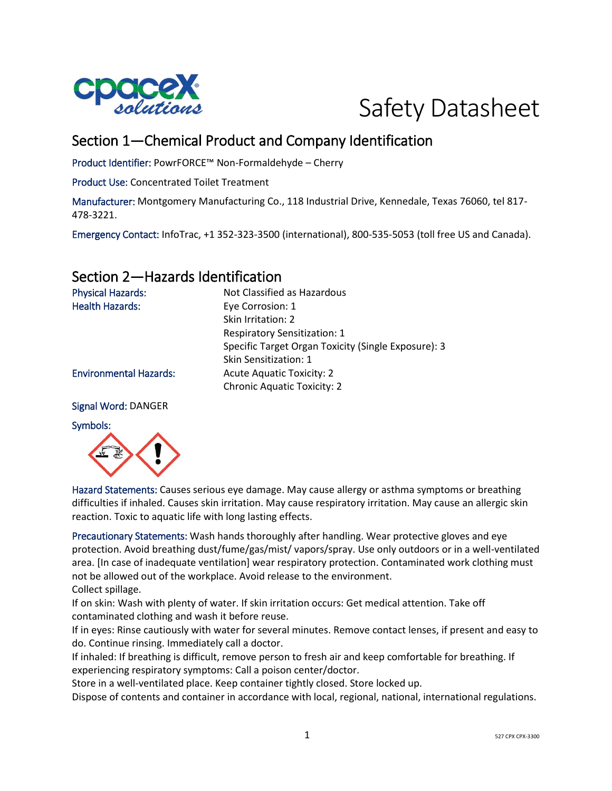



# Section 1—Chemical Product and Company Identification

Product Identifier: PowrFORCE™ Non-Formaldehyde – Cherry

Product Use: Concentrated Toilet Treatment

Manufacturer: Montgomery Manufacturing Co., 118 Industrial Drive, Kennedale, Texas 76060, tel 817- 478-3221.

Emergency Contact: InfoTrac, +1 352-323-3500 (international), 800-535-5053 (toll free US and Canada).

## Section 2—Hazards Identification

| <b>Physical Hazards:</b>      | Not Classified as Hazardous                         |
|-------------------------------|-----------------------------------------------------|
| <b>Health Hazards:</b>        | Eye Corrosion: 1                                    |
|                               | Skin Irritation: 2                                  |
|                               | <b>Respiratory Sensitization: 1</b>                 |
|                               | Specific Target Organ Toxicity (Single Exposure): 3 |
|                               | Skin Sensitization: 1                               |
| <b>Environmental Hazards:</b> | <b>Acute Aquatic Toxicity: 2</b>                    |
|                               | <b>Chronic Aquatic Toxicity: 2</b>                  |
|                               |                                                     |

#### Signal Word: DANGER

#### Symbols:



Hazard Statements: Causes serious eye damage. May cause allergy or asthma symptoms or breathing difficulties if inhaled. Causes skin irritation. May cause respiratory irritation. May cause an allergic skin reaction. Toxic to aquatic life with long lasting effects.

Precautionary Statements: Wash hands thoroughly after handling. Wear protective gloves and eye protection. Avoid breathing dust/fume/gas/mist/ vapors/spray. Use only outdoors or in a well-ventilated area. [In case of inadequate ventilation] wear respiratory protection. Contaminated work clothing must not be allowed out of the workplace. Avoid release to the environment. Collect spillage.

If on skin: Wash with plenty of water. If skin irritation occurs: Get medical attention. Take off contaminated clothing and wash it before reuse.

If in eyes: Rinse cautiously with water for several minutes. Remove contact lenses, if present and easy to do. Continue rinsing. Immediately call a doctor.

If inhaled: If breathing is difficult, remove person to fresh air and keep comfortable for breathing. If experiencing respiratory symptoms: Call a poison center/doctor.

Store in a well-ventilated place. Keep container tightly closed. Store locked up.

Dispose of contents and container in accordance with local, regional, national, international regulations.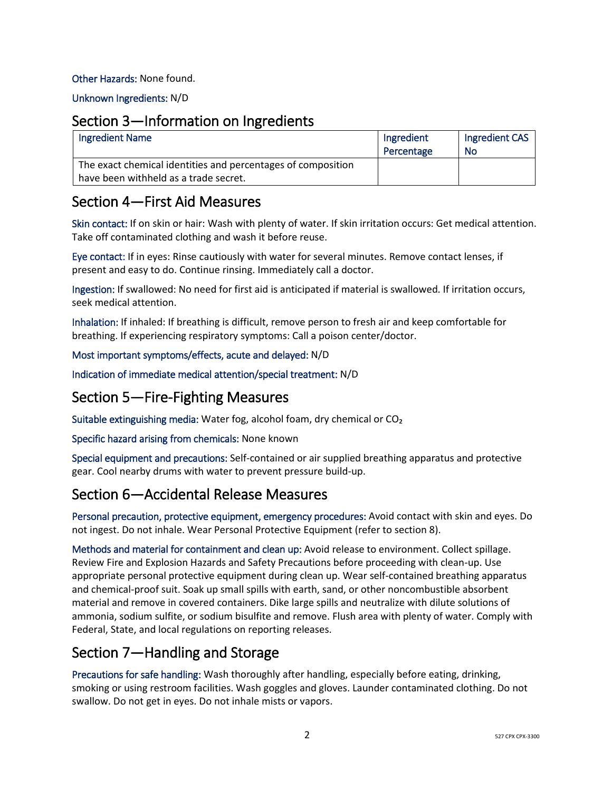### Other Hazards: None found.

Unknown Ingredients: N/D

### Section 3—Information on Ingredients

| <b>Ingredient Name</b>                                                                                | Ingredient<br>Percentage | Ingredient CAS<br>-No |
|-------------------------------------------------------------------------------------------------------|--------------------------|-----------------------|
| The exact chemical identities and percentages of composition<br>have been withheld as a trade secret. |                          |                       |

### Section 4—First Aid Measures

Skin contact: If on skin or hair: Wash with plenty of water. If skin irritation occurs: Get medical attention. Take off contaminated clothing and wash it before reuse.

Eye contact: If in eyes: Rinse cautiously with water for several minutes. Remove contact lenses, if present and easy to do. Continue rinsing. Immediately call a doctor.

Ingestion: If swallowed: No need for first aid is anticipated if material is swallowed. If irritation occurs, seek medical attention.

Inhalation: If inhaled: If breathing is difficult, remove person to fresh air and keep comfortable for breathing. If experiencing respiratory symptoms: Call a poison center/doctor.

### Most important symptoms/effects, acute and delayed: N/D

Indication of immediate medical attention/special treatment: N/D

## Section 5—Fire-Fighting Measures

Suitable extinguishing media: Water fog, alcohol foam, dry chemical or CO₂

Specific hazard arising from chemicals: None known

Special equipment and precautions: Self-contained or air supplied breathing apparatus and protective gear. Cool nearby drums with water to prevent pressure build-up.

## Section 6—Accidental Release Measures

Personal precaution, protective equipment, emergency procedures: Avoid contact with skin and eyes. Do not ingest. Do not inhale. Wear Personal Protective Equipment (refer to section 8).

Methods and material for containment and clean up: Avoid release to environment. Collect spillage. Review Fire and Explosion Hazards and Safety Precautions before proceeding with clean-up. Use appropriate personal protective equipment during clean up. Wear self-contained breathing apparatus and chemical-proof suit. Soak up small spills with earth, sand, or other noncombustible absorbent material and remove in covered containers. Dike large spills and neutralize with dilute solutions of ammonia, sodium sulfite, or sodium bisulfite and remove. Flush area with plenty of water. Comply with Federal, State, and local regulations on reporting releases.

# Section 7—Handling and Storage

Precautions for safe handling: Wash thoroughly after handling, especially before eating, drinking, smoking or using restroom facilities. Wash goggles and gloves. Launder contaminated clothing. Do not swallow. Do not get in eyes. Do not inhale mists or vapors.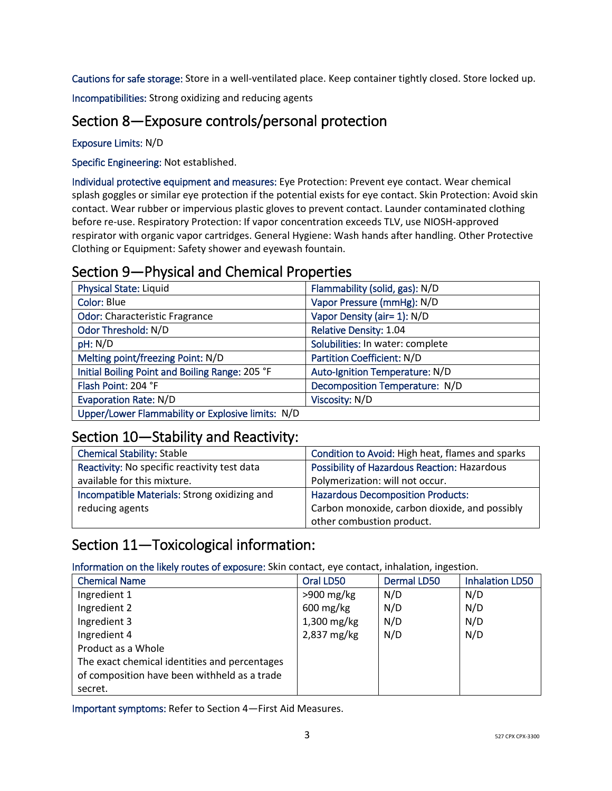Cautions for safe storage: Store in a well-ventilated place. Keep container tightly closed. Store locked up.

Incompatibilities: Strong oxidizing and reducing agents

# Section 8—Exposure controls/personal protection

Exposure Limits: N/D

Specific Engineering: Not established.

Individual protective equipment and measures: Eye Protection: Prevent eye contact. Wear chemical splash goggles or similar eye protection if the potential exists for eye contact. Skin Protection: Avoid skin contact. Wear rubber or impervious plastic gloves to prevent contact. Launder contaminated clothing before re-use. Respiratory Protection: If vapor concentration exceeds TLV, use NIOSH-approved respirator with organic vapor cartridges. General Hygiene: Wash hands after handling. Other Protective Clothing or Equipment: Safety shower and eyewash fountain.

# Section 9—Physical and Chemical Properties

| <b>Physical State: Liquid</b>                     | Flammability (solid, gas): N/D   |
|---------------------------------------------------|----------------------------------|
| Color: Blue                                       | Vapor Pressure (mmHg): N/D       |
| <b>Odor: Characteristic Fragrance</b>             | Vapor Density (air= 1): N/D      |
| Odor Threshold: N/D                               | Relative Density: 1.04           |
| pH: N/D                                           | Solubilities: In water: complete |
| Melting point/freezing Point: N/D                 | Partition Coefficient: N/D       |
| Initial Boiling Point and Boiling Range: 205 °F   | Auto-Ignition Temperature: N/D   |
| Flash Point: 204 °F                               | Decomposition Temperature: N/D   |
| <b>Evaporation Rate: N/D</b>                      | Viscosity: N/D                   |
| Upper/Lower Flammability or Explosive limits: N/D |                                  |

### Section 10—Stability and Reactivity:

| <b>Chemical Stability: Stable</b>            | Condition to Avoid: High heat, flames and sparks    |  |
|----------------------------------------------|-----------------------------------------------------|--|
| Reactivity: No specific reactivity test data | <b>Possibility of Hazardous Reaction: Hazardous</b> |  |
| available for this mixture.                  | Polymerization: will not occur.                     |  |
| Incompatible Materials: Strong oxidizing and | <b>Hazardous Decomposition Products:</b>            |  |
| reducing agents                              | Carbon monoxide, carbon dioxide, and possibly       |  |
|                                              | other combustion product.                           |  |

# Section 11—Toxicological information:

Information on the likely routes of exposure: Skin contact, eye contact, inhalation, ingestion.

| <b>Chemical Name</b>                          | Oral LD50              | <b>Dermal LD50</b> | <b>Inhalation LD50</b> |
|-----------------------------------------------|------------------------|--------------------|------------------------|
| Ingredient 1                                  | $>900$ mg/kg           | N/D                | N/D                    |
| Ingredient 2                                  | $600 \,\mathrm{mg/kg}$ | N/D                | N/D                    |
| Ingredient 3                                  | 1,300 mg/kg            | N/D                | N/D                    |
| Ingredient 4                                  | 2,837 mg/kg            | N/D                | N/D                    |
| Product as a Whole                            |                        |                    |                        |
| The exact chemical identities and percentages |                        |                    |                        |
| of composition have been withheld as a trade  |                        |                    |                        |
| secret.                                       |                        |                    |                        |

Important symptoms: Refer to Section 4—First Aid Measures.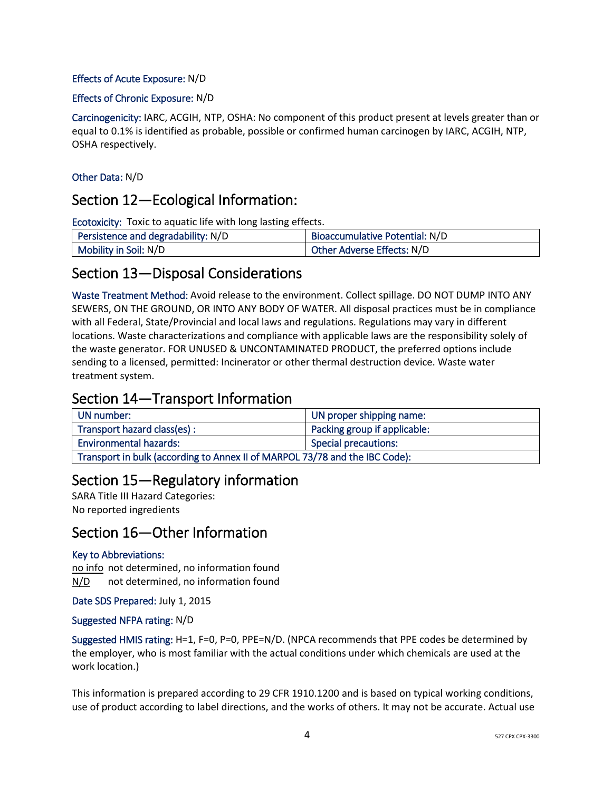### Effects of Acute Exposure: N/D

#### Effects of Chronic Exposure: N/D

Carcinogenicity: IARC, ACGIH, NTP, OSHA: No component of this product present at levels greater than or equal to 0.1% is identified as probable, possible or confirmed human carcinogen by IARC, ACGIH, NTP, OSHA respectively.

### Other Data: N/D

### Section 12—Ecological Information:

Ecotoxicity: Toxic to aquatic life with long lasting effects.

| Persistence and degradability: N/D | Bioaccumulative Potential: N/D    |
|------------------------------------|-----------------------------------|
| Mobility in Soil: N/D              | <b>Other Adverse Effects: N/D</b> |

### Section 13—Disposal Considerations

Waste Treatment Method: Avoid release to the environment. Collect spillage. DO NOT DUMP INTO ANY SEWERS, ON THE GROUND, OR INTO ANY BODY OF WATER. All disposal practices must be in compliance with all Federal, State/Provincial and local laws and regulations. Regulations may vary in different locations. Waste characterizations and compliance with applicable laws are the responsibility solely of the waste generator. FOR UNUSED & UNCONTAMINATED PRODUCT, the preferred options include sending to a licensed, permitted: Incinerator or other thermal destruction device. Waste water treatment system.

## Section 14—Transport Information

| UN number:                                                                  | UN proper shipping name:     |  |
|-----------------------------------------------------------------------------|------------------------------|--|
| Transport hazard class(es):                                                 | Packing group if applicable: |  |
| <b>Environmental hazards:</b><br><b>Special precautions:</b>                |                              |  |
| Transport in bulk (according to Annex II of MARPOL 73/78 and the IBC Code): |                              |  |

### Section 15—Regulatory information

SARA Title III Hazard Categories: No reported ingredients

## Section 16—Other Information

#### Key to Abbreviations:

no info not determined, no information found N/D not determined, no information found

Date SDS Prepared: July 1, 2015

#### Suggested NFPA rating: N/D

Suggested HMIS rating: H=1, F=0, P=0, PPE=N/D. (NPCA recommends that PPE codes be determined by the employer, who is most familiar with the actual conditions under which chemicals are used at the work location.)

This information is prepared according to 29 CFR 1910.1200 and is based on typical working conditions, use of product according to label directions, and the works of others. It may not be accurate. Actual use